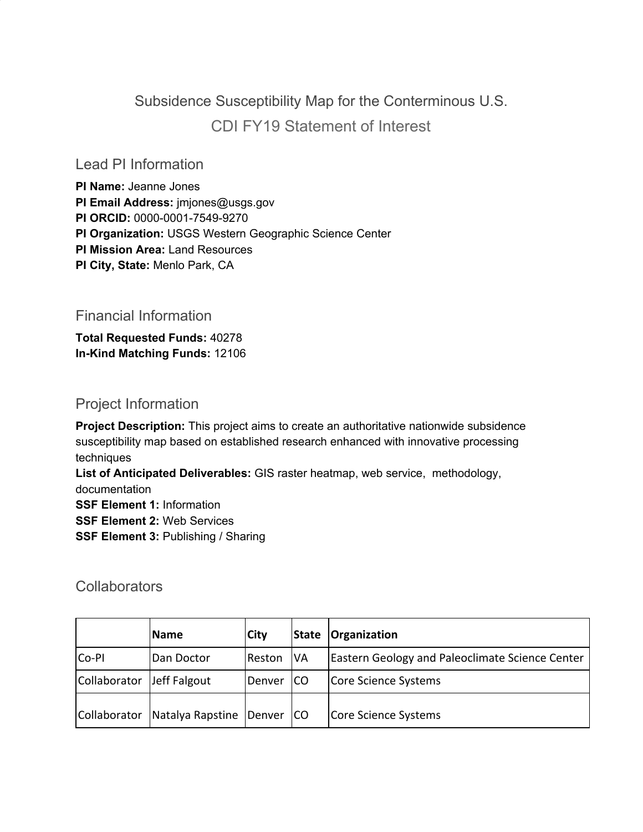# Subsidence Susceptibility Map for the Conterminous U.S. CDI FY19 Statement of Interest

Lead PI Information

**PI Name:** Jeanne Jones **PI Email Address:** jmjones@usgs.gov **PI ORCID:** 0000-0001-7549-9270 **PI Organization:** USGS Western Geographic Science Center **PI Mission Area:** Land Resources **PI City, State:** Menlo Park, CA

Financial Information

**Total Requested Funds:** 40278 **In-Kind Matching Funds:** 12106

## Project Information

**Project Description:** This project aims to create an authoritative nationwide subsidence susceptibility map based on established research enhanced with innovative processing techniques

**List of Anticipated Deliverables:** GIS raster heatmap, web service, methodology, documentation

**SSF Element 1:** Information

**SSF Element 2:** Web Services

**SSF Element 3:** Publishing / Sharing

#### **Collaborators**

|              | <b>Name</b>      | <b>City</b> | <b>State</b> | Organization                                           |
|--------------|------------------|-------------|--------------|--------------------------------------------------------|
| Co-PI        | Dan Doctor       | Reston      | <b>VA</b>    | <b>Eastern Geology and Paleoclimate Science Center</b> |
| Collaborator | Jeff Falgout     | Denver      | <b>ICO</b>   | Core Science Systems                                   |
| Collaborator | Natalya Rapstine | Denver   CO |              | Core Science Systems                                   |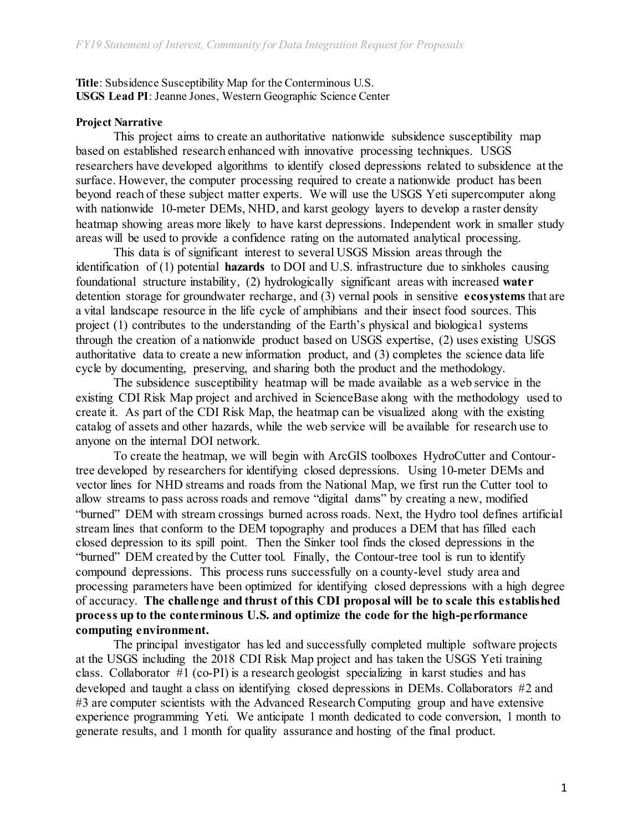**Title**: Subsidence Susceptibility Map for the Conterminous U.S. **USGS Lead PI**: Jeanne Jones, Western Geographic Science Center

#### **Project Narrative**

This project aims to create an authoritative nationwide subsidence susceptibility map based on established research enhanced with innovative processing techniques. USGS researchers have developed algorithms to identify closed depressions related to subsidence at the surface. However, the computer processing required to create a nationwide product has been beyond reach of these subject matter experts. We will use the USGS Yeti supercomputer along with nationwide 10-meter DEMs, NHD, and karst geology layers to develop a raster density heatmap showing areas more likely to have karst depressions. Independent work in smaller study areas will be used to provide a confidence rating on the automated analytical processing.

This data is of significant interest to several USGS Mission areas through the identification of (1) potential **hazards** to DOI and U.S. infrastructure due to sinkholes causing foundational structure instability, (2) hydrologically significant areas with increased **water** detention storage for groundwater recharge, and (3) vernal pools in sensitive **ecosystems** that are a vital landscape resource in the life cycle of amphibians and their insect food sources. This project (1) contributes to the understanding of the Earth's physical and biological systems through the creation of a nationwide product based on USGS expertise, (2) uses existing USGS authoritative data to create a new information product, and (3) completes the science data life cycle by documenting, preserving, and sharing both the product and the methodology.

The subsidence susceptibility heatmap will be made available as a web service in the existing CDI Risk Map project and archived in ScienceBase along with the methodology used to create it. As part of the CDI Risk Map, the heatmap can be visualized along with the existing catalog of assets and other hazards, while the web service will be available for research use to anyone on the internal DOI network.

To create the heatmap, we will begin with ArcGIS toolboxes HydroCutter and Contourtree developed by researchers for identifying closed depressions. Using 10-meter DEMs and vector lines for NHD streams and roads from the National Map, we first run the Cutter tool to allow streams to pass across roads and remove "digital dams" by creating a new, modified "burned" DEM with stream crossings burned across roads. Next, the Hydro tool defines artificial stream lines that conform to the DEM topography and produces a DEM that has filled each closed depression to its spill point. Then the Sinker tool finds the closed depressions in the "burned" DEM created by the Cutter tool. Finally, the Contour-tree tool is run to identify compound depressions. This process runs successfully on a county-level study area and processing parameters have been optimized for identifying closed depressions with a high degree of accuracy. **The challenge and thrust of this CDI proposal will be to scale this established process up to the conterminous U.S. and optimize the code for the high-performance computing environment.**

The principal investigator has led and successfully completed multiple software projects at the USGS including the 2018 CDI Risk Map project and has taken the USGS Yeti training class. Collaborator #1 (co-PI) is a research geologist specializing in karst studies and has developed and taught a class on identifying closed depressions in DEMs. Collaborators #2 and #3 are computer scientists with the Advanced Research Computing group and have extensive experience programming Yeti. We anticipate 1 month dedicated to code conversion, 1 month to generate results, and 1 month for quality assurance and hosting of the final product.